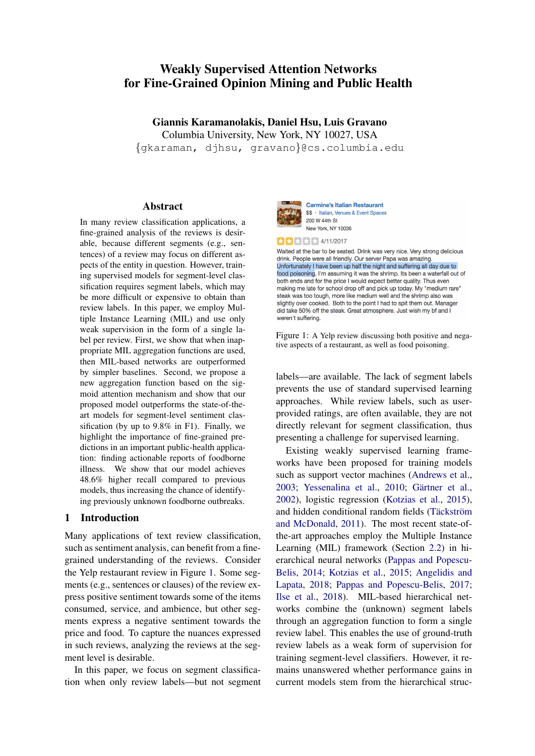# Weakly Supervised Attention Networks for Fine-Grained Opinion Mining and Public Health

Giannis Karamanolakis, Daniel Hsu, Luis Gravano Columbia University, New York, NY 10027, USA {gkaraman, djhsu, gravano}@cs.columbia.edu

#### Abstract

In many review classification applications, a fine-grained analysis of the reviews is desirable, because different segments (e.g., sentences) of a review may focus on different aspects of the entity in question. However, training supervised models for segment-level classification requires segment labels, which may be more difficult or expensive to obtain than review labels. In this paper, we employ Multiple Instance Learning (MIL) and use only weak supervision in the form of a single label per review. First, we show that when inappropriate MIL aggregation functions are used, then MIL-based networks are outperformed by simpler baselines. Second, we propose a new aggregation function based on the sigmoid attention mechanism and show that our proposed model outperforms the state-of-theart models for segment-level sentiment classification (by up to 9.8% in F1). Finally, we highlight the importance of fine-grained predictions in an important public-health application: finding actionable reports of foodborne illness. We show that our model achieves 48.6% higher recall compared to previous models, thus increasing the chance of identifying previously unknown foodborne outbreaks.

#### 1 Introduction

Many applications of text review classification, such as sentiment analysis, can benefit from a finegrained understanding of the reviews. Consider the Yelp restaurant review in Figure [1.](#page-0-0) Some segments (e.g., sentences or clauses) of the review express positive sentiment towards some of the items consumed, service, and ambience, but other segments express a negative sentiment towards the price and food. To capture the nuances expressed in such reviews, analyzing the reviews at the segment level is desirable.

In this paper, we focus on segment classification when only review labels—but not segment

<span id="page-0-0"></span>

**Carmine's Italian Restaurant** \$\$ · Italian, Venues & Event Spaces 200 W 44th St New York, NY 10036

 $\star$   $\star$   $\star$   $\star$  4/11/2017

Waited at the bar to be seated. Drink was very nice. Very strong delicious drink. People were all friendly. Our server Papa was amazing Unfortunately I have been up half the night and suffering all day due to food poisoning. I'm assuming it was the shrimp. Its been a waterfall out of both ends and for the price I would expect better quality. Thus even making me late for school drop off and pick up today. My "medium rare' steak was too tough, more like medium well and the shrimp also was slightly over cooked. Both to the point I had to spit them out. Manager did take 50% off the steak. Great atmosphere. Just wish my bf and I weren't suffering.

Figure 1: A Yelp review discussing both positive and negative aspects of a restaurant, as well as food poisoning.

labels—are available. The lack of segment labels prevents the use of standard supervised learning approaches. While review labels, such as userprovided ratings, are often available, they are not directly relevant for segment classification, thus presenting a challenge for supervised learning.

Existing weakly supervised learning frameworks have been proposed for training models such as support vector machines [\(Andrews et al.,](#page-8-0) [2003;](#page-8-0) [Yessenalina et al.,](#page-9-0) [2010;](#page-9-0) Gärtner et al., [2002\)](#page-8-1), logistic regression [\(Kotzias et al.,](#page-8-2) [2015\)](#page-8-2), and hidden conditional random fields (Täckström [and McDonald,](#page-9-1) [2011\)](#page-9-1). The most recent state-ofthe-art approaches employ the Multiple Instance Learning (MIL) framework (Section [2.2\)](#page-1-0) in hierarchical neural networks [\(Pappas and Popescu-](#page-9-2)[Belis,](#page-9-2) [2014;](#page-9-2) [Kotzias et al.,](#page-8-2) [2015;](#page-8-2) [Angelidis and](#page-8-3) [Lapata,](#page-8-3) [2018;](#page-8-3) [Pappas and Popescu-Belis,](#page-9-3) [2017;](#page-9-3) [Ilse et al.,](#page-8-4) [2018\)](#page-8-4). MIL-based hierarchical networks combine the (unknown) segment labels through an aggregation function to form a single review label. This enables the use of ground-truth review labels as a weak form of supervision for training segment-level classifiers. However, it remains unanswered whether performance gains in current models stem from the hierarchical struc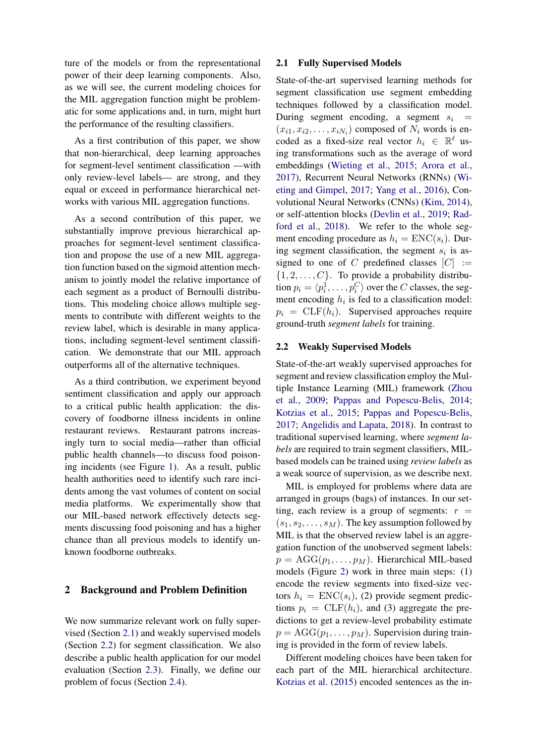ture of the models or from the representational power of their deep learning components. Also, as we will see, the current modeling choices for the MIL aggregation function might be problematic for some applications and, in turn, might hurt the performance of the resulting classifiers.

As a first contribution of this paper, we show that non-hierarchical, deep learning approaches for segment-level sentiment classification —with only review-level labels— are strong, and they equal or exceed in performance hierarchical networks with various MIL aggregation functions.

As a second contribution of this paper, we substantially improve previous hierarchical approaches for segment-level sentiment classification and propose the use of a new MIL aggregation function based on the sigmoid attention mechanism to jointly model the relative importance of each segment as a product of Bernoulli distributions. This modeling choice allows multiple segments to contribute with different weights to the review label, which is desirable in many applications, including segment-level sentiment classification. We demonstrate that our MIL approach outperforms all of the alternative techniques.

As a third contribution, we experiment beyond sentiment classification and apply our approach to a critical public health application: the discovery of foodborne illness incidents in online restaurant reviews. Restaurant patrons increasingly turn to social media—rather than official public health channels—to discuss food poisoning incidents (see Figure [1\)](#page-0-0). As a result, public health authorities need to identify such rare incidents among the vast volumes of content on social media platforms. We experimentally show that our MIL-based network effectively detects segments discussing food poisoning and has a higher chance than all previous models to identify unknown foodborne outbreaks.

## 2 Background and Problem Definition

We now summarize relevant work on fully supervised (Section [2.1\)](#page-1-1) and weakly supervised models (Section [2.2\)](#page-1-0) for segment classification. We also describe a public health application for our model evaluation (Section [2.3\)](#page-2-0). Finally, we define our problem of focus (Section [2.4\)](#page-2-1).

## <span id="page-1-1"></span>2.1 Fully Supervised Models

State-of-the-art supervised learning methods for segment classification use segment embedding techniques followed by a classification model. During segment encoding, a segment  $s_i$  =  $(x_{i1}, x_{i2}, \ldots, x_{iN_i})$  composed of  $N_i$  words is encoded as a fixed-size real vector  $h_i \in \mathbb{R}^{\ell}$  using transformations such as the average of word embeddings [\(Wieting et al.,](#page-9-4) [2015;](#page-9-4) [Arora et al.,](#page-8-5) [2017\)](#page-8-5), Recurrent Neural Networks (RNNs) [\(Wi](#page-9-5)[eting and Gimpel,](#page-9-5) [2017;](#page-9-5) [Yang et al.,](#page-9-6) [2016\)](#page-9-6), Convolutional Neural Networks (CNNs) [\(Kim,](#page-8-6) [2014\)](#page-8-6), or self-attention blocks [\(Devlin et al.,](#page-8-7) [2019;](#page-8-7) [Rad](#page-9-7)[ford et al.,](#page-9-7) [2018\)](#page-9-7). We refer to the whole segment encoding procedure as  $h_i = \text{ENC}(s_i)$ . During segment classification, the segment  $s_i$  is assigned to one of C predefined classes  $[C] :=$  $\{1, 2, \ldots, C\}$ . To provide a probability distribution  $p_i = \langle p_i^1, \dots, p_i^C \rangle$  over the C classes, the segment encoding  $h_i$  is fed to a classification model:  $p_i = \text{CLF}(h_i)$ . Supervised approaches require ground-truth *segment labels* for training.

#### <span id="page-1-0"></span>2.2 Weakly Supervised Models

State-of-the-art weakly supervised approaches for segment and review classification employ the Multiple Instance Learning (MIL) framework [\(Zhou](#page-9-8) [et al.,](#page-9-8) [2009;](#page-9-8) [Pappas and Popescu-Belis,](#page-9-2) [2014;](#page-9-2) [Kotzias et al.,](#page-8-2) [2015;](#page-8-2) [Pappas and Popescu-Belis,](#page-9-3) [2017;](#page-9-3) [Angelidis and Lapata,](#page-8-3) [2018\)](#page-8-3). In contrast to traditional supervised learning, where *segment labels* are required to train segment classifiers, MILbased models can be trained using *review labels* as a weak source of supervision, as we describe next.

MIL is employed for problems where data are arranged in groups (bags) of instances. In our setting, each review is a group of segments:  $r =$  $(s_1, s_2, \ldots, s_M)$ . The key assumption followed by MIL is that the observed review label is an aggregation function of the unobserved segment labels:  $p = \text{AGG}(p_1, \ldots, p_M)$ . Hierarchical MIL-based models (Figure [2\)](#page-2-2) work in three main steps: (1) encode the review segments into fixed-size vectors  $h_i = \text{ENC}(s_i)$ , (2) provide segment predictions  $p_i = \text{CLF}(h_i)$ , and (3) aggregate the predictions to get a review-level probability estimate  $p = \text{AGG}(p_1, \ldots, p_M)$ . Supervision during training is provided in the form of review labels.

Different modeling choices have been taken for each part of the MIL hierarchical architecture. [Kotzias et al.](#page-8-2) [\(2015\)](#page-8-2) encoded sentences as the in-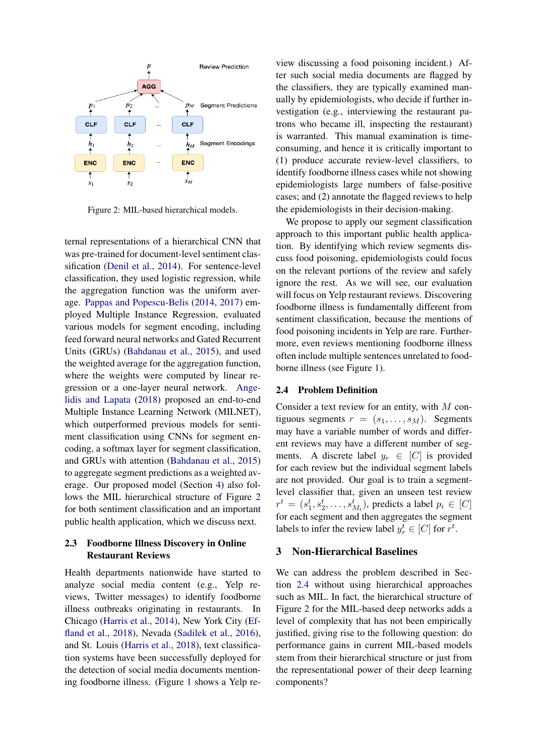<span id="page-2-2"></span>

Figure 2: MIL-based hierarchical models.

ternal representations of a hierarchical CNN that was pre-trained for document-level sentiment classification [\(Denil et al.,](#page-8-8) [2014\)](#page-8-8). For sentence-level classification, they used logistic regression, while the aggregation function was the uniform average. [Pappas and Popescu-Belis](#page-9-2) [\(2014,](#page-9-2) [2017\)](#page-9-3) employed Multiple Instance Regression, evaluated various models for segment encoding, including feed forward neural networks and Gated Recurrent Units (GRUs) [\(Bahdanau et al.,](#page-8-9) [2015\)](#page-8-9), and used the weighted average for the aggregation function, where the weights were computed by linear regression or a one-layer neural network. [Ange](#page-8-3)[lidis and Lapata](#page-8-3) [\(2018\)](#page-8-3) proposed an end-to-end Multiple Instance Learning Network (MILNET), which outperformed previous models for sentiment classification using CNNs for segment encoding, a softmax layer for segment classification, and GRUs with attention [\(Bahdanau et al.,](#page-8-9) [2015\)](#page-8-9) to aggregate segment predictions as a weighted average. Our proposed model (Section [4\)](#page-3-0) also follows the MIL hierarchical structure of Figure [2](#page-2-2) for both sentiment classification and an important public health application, which we discuss next.

## <span id="page-2-0"></span>2.3 Foodborne Illness Discovery in Online Restaurant Reviews

Health departments nationwide have started to analyze social media content (e.g., Yelp reviews, Twitter messages) to identify foodborne illness outbreaks originating in restaurants. In Chicago [\(Harris et al.,](#page-8-10) [2014\)](#page-8-10), New York City [\(Ef](#page-8-11)[fland et al.,](#page-8-11) [2018\)](#page-8-11), Nevada [\(Sadilek et al.,](#page-9-9) [2016\)](#page-9-9), and St. Louis [\(Harris et al.,](#page-8-12) [2018\)](#page-8-12), text classification systems have been successfully deployed for the detection of social media documents mentioning foodborne illness. (Figure [1](#page-0-0) shows a Yelp re-

view discussing a food poisoning incident.) After such social media documents are flagged by the classifiers, they are typically examined manually by epidemiologists, who decide if further investigation (e.g., interviewing the restaurant patrons who became ill, inspecting the restaurant) is warranted. This manual examination is timeconsuming, and hence it is critically important to (1) produce accurate review-level classifiers, to identify foodborne illness cases while not showing epidemiologists large numbers of false-positive cases; and (2) annotate the flagged reviews to help the epidemiologists in their decision-making.

We propose to apply our segment classification approach to this important public health application. By identifying which review segments discuss food poisoning, epidemiologists could focus on the relevant portions of the review and safely ignore the rest. As we will see, our evaluation will focus on Yelp restaurant reviews. Discovering foodborne illness is fundamentally different from sentiment classification, because the mentions of food poisoning incidents in Yelp are rare. Furthermore, even reviews mentioning foodborne illness often include multiple sentences unrelated to foodborne illness (see Figure [1\)](#page-0-0).

#### <span id="page-2-1"></span>2.4 Problem Definition

Consider a text review for an entity, with  $M$  contiguous segments  $r = (s_1, \ldots, s_M)$ . Segments may have a variable number of words and different reviews may have a different number of segments. A discrete label  $y_r \in [C]$  is provided for each review but the individual segment labels are not provided. Our goal is to train a segmentlevel classifier that, given an unseen test review  $r^t = (s_1^t, s_2^t, \dots, s_{M_t}^t)$ , predicts a label  $p_i \in [C]$ for each segment and then aggregates the segment labels to infer the review label  $y_r^t \in [C]$  for  $r^t$ .

#### <span id="page-2-3"></span>3 Non-Hierarchical Baselines

We can address the problem described in Section [2.4](#page-2-1) without using hierarchical approaches such as MIL. In fact, the hierarchical structure of Figure [2](#page-2-2) for the MIL-based deep networks adds a level of complexity that has not been empirically justified, giving rise to the following question: do performance gains in current MIL-based models stem from their hierarchical structure or just from the representational power of their deep learning components?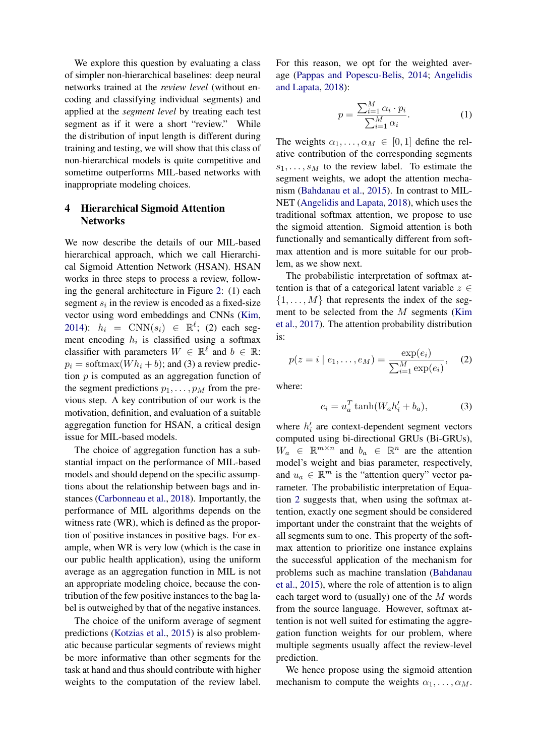We explore this question by evaluating a class of simpler non-hierarchical baselines: deep neural networks trained at the *review level* (without encoding and classifying individual segments) and applied at the *segment level* by treating each test segment as if it were a short "review." While the distribution of input length is different during training and testing, we will show that this class of non-hierarchical models is quite competitive and sometime outperforms MIL-based networks with inappropriate modeling choices.

## <span id="page-3-0"></span>4 Hierarchical Sigmoid Attention **Networks**

We now describe the details of our MIL-based hierarchical approach, which we call Hierarchical Sigmoid Attention Network (HSAN). HSAN works in three steps to process a review, following the general architecture in Figure [2:](#page-2-2) (1) each segment  $s_i$  in the review is encoded as a fixed-size vector using word embeddings and CNNs [\(Kim,](#page-8-6) [2014\)](#page-8-6):  $h_i = \text{CNN}(s_i) \in \mathbb{R}^{\ell}$ ; (2) each segment encoding  $h_i$  is classified using a softmax classifier with parameters  $W \in \mathbb{R}^{\ell}$  and  $b \in \mathbb{R}$ :  $p_i = \text{softmax}(Wh_i + b)$ ; and (3) a review prediction  $p$  is computed as an aggregation function of the segment predictions  $p_1, \ldots, p_M$  from the previous step. A key contribution of our work is the motivation, definition, and evaluation of a suitable aggregation function for HSAN, a critical design issue for MIL-based models.

The choice of aggregation function has a substantial impact on the performance of MIL-based models and should depend on the specific assumptions about the relationship between bags and instances [\(Carbonneau et al.,](#page-8-13) [2018\)](#page-8-13). Importantly, the performance of MIL algorithms depends on the witness rate (WR), which is defined as the proportion of positive instances in positive bags. For example, when WR is very low (which is the case in our public health application), using the uniform average as an aggregation function in MIL is not an appropriate modeling choice, because the contribution of the few positive instances to the bag label is outweighed by that of the negative instances.

The choice of the uniform average of segment predictions [\(Kotzias et al.,](#page-8-2) [2015\)](#page-8-2) is also problematic because particular segments of reviews might be more informative than other segments for the task at hand and thus should contribute with higher weights to the computation of the review label. For this reason, we opt for the weighted average [\(Pappas and Popescu-Belis,](#page-9-2) [2014;](#page-9-2) [Angelidis](#page-8-3) [and Lapata,](#page-8-3) [2018\)](#page-8-3):

<span id="page-3-2"></span>
$$
p = \frac{\sum_{i=1}^{M} \alpha_i \cdot p_i}{\sum_{i=1}^{M} \alpha_i}.
$$
 (1)

The weights  $\alpha_1, \ldots, \alpha_M \in [0, 1]$  define the relative contribution of the corresponding segments  $s_1, \ldots, s_M$  to the review label. To estimate the segment weights, we adopt the attention mechanism [\(Bahdanau et al.,](#page-8-9) [2015\)](#page-8-9). In contrast to MIL-NET [\(Angelidis and Lapata,](#page-8-3) [2018\)](#page-8-3), which uses the traditional softmax attention, we propose to use the sigmoid attention. Sigmoid attention is both functionally and semantically different from softmax attention and is more suitable for our problem, as we show next.

The probabilistic interpretation of softmax attention is that of a categorical latent variable  $z \in$  $\{1, \ldots, M\}$  that represents the index of the segment to be selected from the M segments [\(Kim](#page-8-14) [et al.,](#page-8-14) [2017\)](#page-8-14). The attention probability distribution is:

<span id="page-3-1"></span>
$$
p(z = i | e_1, ..., e_M) = \frac{\exp(e_i)}{\sum_{i=1}^M \exp(e_i)},
$$
 (2)

where:

$$
e_i = u_a^T \tanh(W_a h'_i + b_a), \tag{3}
$$

where  $h'_i$  are context-dependent segment vectors computed using bi-directional GRUs (Bi-GRUs),  $W_a \in \mathbb{R}^{m \times n}$  and  $b_a \in \mathbb{R}^n$  are the attention model's weight and bias parameter, respectively, and  $u_a \in \mathbb{R}^m$  is the "attention query" vector parameter. The probabilistic interpretation of Equation [2](#page-3-1) suggests that, when using the softmax attention, exactly one segment should be considered important under the constraint that the weights of all segments sum to one. This property of the softmax attention to prioritize one instance explains the successful application of the mechanism for problems such as machine translation [\(Bahdanau](#page-8-9) [et al.,](#page-8-9) [2015\)](#page-8-9), where the role of attention is to align each target word to (usually) one of the M words from the source language. However, softmax attention is not well suited for estimating the aggregation function weights for our problem, where multiple segments usually affect the review-level prediction.

We hence propose using the sigmoid attention mechanism to compute the weights  $\alpha_1, \ldots, \alpha_M$ .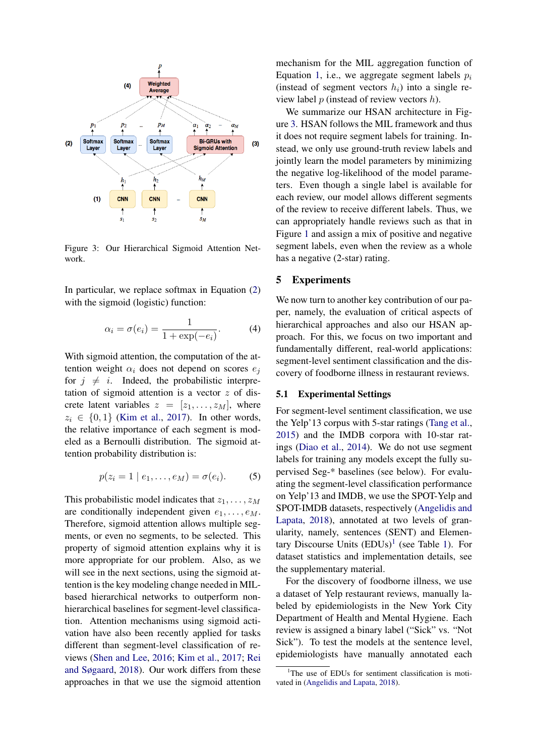<span id="page-4-0"></span>

Figure 3: Our Hierarchical Sigmoid Attention Network.

In particular, we replace softmax in Equation [\(2\)](#page-3-1) with the sigmoid (logistic) function:

$$
\alpha_i = \sigma(e_i) = \frac{1}{1 + \exp(-e_i)}.
$$
 (4)

With sigmoid attention, the computation of the attention weight  $\alpha_i$  does not depend on scores  $e_i$ for  $j \neq i$ . Indeed, the probabilistic interpretation of sigmoid attention is a vector  $z$  of discrete latent variables  $z = [z_1, \ldots, z_M]$ , where  $z_i \in \{0, 1\}$  [\(Kim et al.,](#page-8-14) [2017\)](#page-8-14). In other words, the relative importance of each segment is modeled as a Bernoulli distribution. The sigmoid attention probability distribution is:

$$
p(z_i = 1 | e_1, \ldots, e_M) = \sigma(e_i). \tag{5}
$$

This probabilistic model indicates that  $z_1, \ldots, z_M$ are conditionally independent given  $e_1, \ldots, e_M$ . Therefore, sigmoid attention allows multiple segments, or even no segments, to be selected. This property of sigmoid attention explains why it is more appropriate for our problem. Also, as we will see in the next sections, using the sigmoid attention is the key modeling change needed in MILbased hierarchical networks to outperform nonhierarchical baselines for segment-level classification. Attention mechanisms using sigmoid activation have also been recently applied for tasks different than segment-level classification of reviews [\(Shen and Lee,](#page-9-10) [2016;](#page-9-10) [Kim et al.,](#page-8-14) [2017;](#page-8-14) [Rei](#page-9-11) [and Søgaard,](#page-9-11) [2018\)](#page-9-11). Our work differs from these approaches in that we use the sigmoid attention

mechanism for the MIL aggregation function of Equation [1,](#page-3-2) i.e., we aggregate segment labels  $p_i$ (instead of segment vectors  $h_i$ ) into a single review label  $p$  (instead of review vectors  $h$ ).

We summarize our HSAN architecture in Figure [3.](#page-4-0) HSAN follows the MIL framework and thus it does not require segment labels for training. Instead, we only use ground-truth review labels and jointly learn the model parameters by minimizing the negative log-likelihood of the model parameters. Even though a single label is available for each review, our model allows different segments of the review to receive different labels. Thus, we can appropriately handle reviews such as that in Figure [1](#page-0-0) and assign a mix of positive and negative segment labels, even when the review as a whole has a negative (2-star) rating.

#### 5 Experiments

We now turn to another key contribution of our paper, namely, the evaluation of critical aspects of hierarchical approaches and also our HSAN approach. For this, we focus on two important and fundamentally different, real-world applications: segment-level sentiment classification and the discovery of foodborne illness in restaurant reviews.

#### 5.1 Experimental Settings

For segment-level sentiment classification, we use the Yelp'13 corpus with 5-star ratings [\(Tang et al.,](#page-9-12) [2015\)](#page-9-12) and the IMDB corpora with 10-star ratings [\(Diao et al.,](#page-8-15) [2014\)](#page-8-15). We do not use segment labels for training any models except the fully supervised Seg-\* baselines (see below). For evaluating the segment-level classification performance on Yelp'13 and IMDB, we use the SPOT-Yelp and SPOT-IMDB datasets, respectively [\(Angelidis and](#page-8-3) [Lapata,](#page-8-3) [2018\)](#page-8-3), annotated at two levels of granularity, namely, sentences (SENT) and Elementary Discourse Units  $(EDUs)^1$  $(EDUs)^1$  (see Table [1\)](#page-5-0). For dataset statistics and implementation details, see the supplementary material.

For the discovery of foodborne illness, we use a dataset of Yelp restaurant reviews, manually labeled by epidemiologists in the New York City Department of Health and Mental Hygiene. Each review is assigned a binary label ("Sick" vs. "Not Sick"). To test the models at the sentence level, epidemiologists have manually annotated each

<span id="page-4-1"></span><sup>&</sup>lt;sup>1</sup>The use of EDUs for sentiment classification is motivated in [\(Angelidis and Lapata,](#page-8-3) [2018\)](#page-8-3).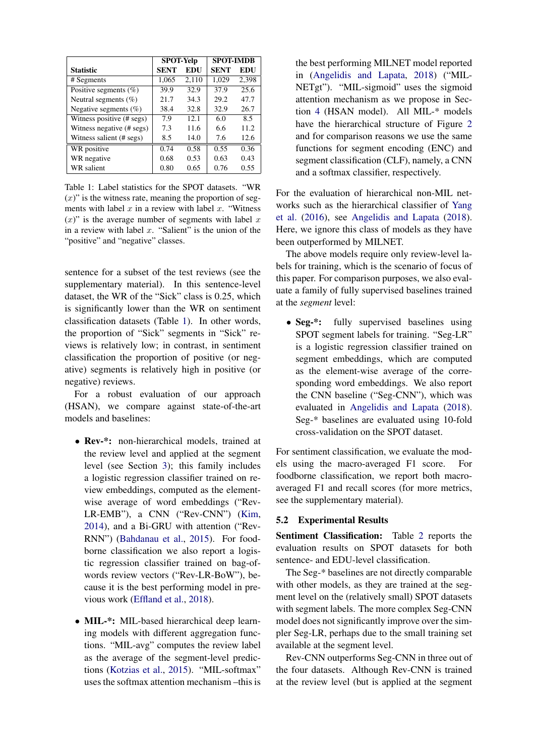<span id="page-5-0"></span>

|                           | <b>SPOT-Yelp</b> |       | <b>SPOT-IMDB</b> |            |  |
|---------------------------|------------------|-------|------------------|------------|--|
| <b>Statistic</b>          | <b>SENT</b>      | EDU   | <b>SENT</b>      | <b>EDU</b> |  |
| # Segments                | 1,065            | 2.110 | 1,029            | 2,398      |  |
| Positive segments $(\%)$  | 39.9             | 32.9  | 37.9             | 25.6       |  |
| Neutral segments $(\%)$   | 21.7             | 34.3  | 29.2             | 47.7       |  |
| Negative segments $(\%)$  | 38.4             | 32.8  | 32.9             | 26.7       |  |
| Witness positive (# segs) | 7.9              | 12.1  | 6.0              | 8.5        |  |
| Witness negative (# segs) | 7.3              | 11.6  | 6.6              | 11.2       |  |
| Witness salient (# segs)  | 8.5              | 14.0  | 7.6              | 12.6       |  |
| WR positive               | 0.74             | 0.58  | 0.55             | 0.36       |  |
| WR negative               | 0.68             | 0.53  | 0.63             | 0.43       |  |
| WR salient                | 0.80             | 0.65  | 0.76             | 0.55       |  |

Table 1: Label statistics for the SPOT datasets. "WR  $(x)$ " is the witness rate, meaning the proportion of segments with label  $x$  in a review with label  $x$ . "Witness  $(x)$ " is the average number of segments with label x in a review with label  $x$ . "Salient" is the union of the "positive" and "negative" classes.

sentence for a subset of the test reviews (see the supplementary material). In this sentence-level dataset, the WR of the "Sick" class is 0.25, which is significantly lower than the WR on sentiment classification datasets (Table [1\)](#page-5-0). In other words, the proportion of "Sick" segments in "Sick" reviews is relatively low; in contrast, in sentiment classification the proportion of positive (or negative) segments is relatively high in positive (or negative) reviews.

For a robust evaluation of our approach (HSAN), we compare against state-of-the-art models and baselines:

- Rev-\*: non-hierarchical models, trained at the review level and applied at the segment level (see Section [3\)](#page-2-3); this family includes a logistic regression classifier trained on review embeddings, computed as the elementwise average of word embeddings ("Rev-LR-EMB"), a CNN ("Rev-CNN") [\(Kim,](#page-8-6) [2014\)](#page-8-6), and a Bi-GRU with attention ("Rev-RNN") [\(Bahdanau et al.,](#page-8-9) [2015\)](#page-8-9). For foodborne classification we also report a logistic regression classifier trained on bag-ofwords review vectors ("Rev-LR-BoW"), because it is the best performing model in previous work [\(Effland et al.,](#page-8-11) [2018\)](#page-8-11).
- MIL-\*: MIL-based hierarchical deep learning models with different aggregation functions. "MIL-avg" computes the review label as the average of the segment-level predictions [\(Kotzias et al.,](#page-8-2) [2015\)](#page-8-2). "MIL-softmax" uses the softmax attention mechanism –this is

the best performing MILNET model reported in [\(Angelidis and Lapata,](#page-8-3) [2018\)](#page-8-3) ("MIL-NETgt"). "MIL-sigmoid" uses the sigmoid attention mechanism as we propose in Section [4](#page-3-0) (HSAN model). All MIL-\* models have the hierarchical structure of Figure [2](#page-2-2) and for comparison reasons we use the same functions for segment encoding (ENC) and segment classification (CLF), namely, a CNN and a softmax classifier, respectively.

For the evaluation of hierarchical non-MIL networks such as the hierarchical classifier of [Yang](#page-9-6) [et al.](#page-9-6) [\(2016\)](#page-9-6), see [Angelidis and Lapata](#page-8-3) [\(2018\)](#page-8-3). Here, we ignore this class of models as they have been outperformed by MILNET.

The above models require only review-level labels for training, which is the scenario of focus of this paper. For comparison purposes, we also evaluate a family of fully supervised baselines trained at the *segment* level:

• Seg-\*: fully supervised baselines using SPOT segment labels for training. "Seg-LR" is a logistic regression classifier trained on segment embeddings, which are computed as the element-wise average of the corresponding word embeddings. We also report the CNN baseline ("Seg-CNN"), which was evaluated in [Angelidis and Lapata](#page-8-3) [\(2018\)](#page-8-3). Seg-\* baselines are evaluated using 10-fold cross-validation on the SPOT dataset.

For sentiment classification, we evaluate the models using the macro-averaged F1 score. For foodborne classification, we report both macroaveraged F1 and recall scores (for more metrics, see the supplementary material).

## 5.2 Experimental Results

Sentiment Classification: Table [2](#page-6-0) reports the evaluation results on SPOT datasets for both sentence- and EDU-level classification.

The Seg-\* baselines are not directly comparable with other models, as they are trained at the segment level on the (relatively small) SPOT datasets with segment labels. The more complex Seg-CNN model does not significantly improve over the simpler Seg-LR, perhaps due to the small training set available at the segment level.

Rev-CNN outperforms Seg-CNN in three out of the four datasets. Although Rev-CNN is trained at the review level (but is applied at the segment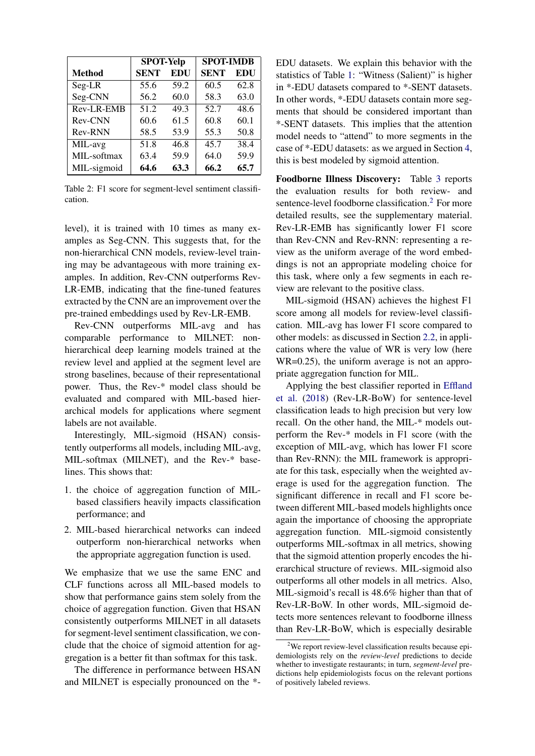<span id="page-6-0"></span>

|                | <b>SPOT-Yelp</b> |      | <b>SPOT-IMDB</b> |            |  |  |
|----------------|------------------|------|------------------|------------|--|--|
| <b>Method</b>  | <b>SENT</b>      | EDU  | <b>SENT</b>      | <b>EDU</b> |  |  |
| Seg-LR         | 55.6             | 59.2 | 60.5             | 62.8       |  |  |
| Seg-CNN        | 56.2             | 60.0 | 58.3             | 63.0       |  |  |
| Rev-LR-EMB     | 51.2             | 49.3 | 52.7             | 48.6       |  |  |
| <b>Rev-CNN</b> | 60.6             | 61.5 | 60.8             | 60.1       |  |  |
| Rev-RNN        | 58.5             | 53.9 | 55.3             | 50.8       |  |  |
| MIL-avg        | 51.8             | 46.8 | 45.7             | 38.4       |  |  |
| MIL-softmax    | 63.4             | 59.9 | 64.0             | 59.9       |  |  |
| MIL-sigmoid    | 64.6             | 63.3 | 66.2             | 65.7       |  |  |

Table 2: F1 score for segment-level sentiment classification.

level), it is trained with 10 times as many examples as Seg-CNN. This suggests that, for the non-hierarchical CNN models, review-level training may be advantageous with more training examples. In addition, Rev-CNN outperforms Rev-LR-EMB, indicating that the fine-tuned features extracted by the CNN are an improvement over the pre-trained embeddings used by Rev-LR-EMB.

Rev-CNN outperforms MIL-avg and has comparable performance to MILNET: nonhierarchical deep learning models trained at the review level and applied at the segment level are strong baselines, because of their representational power. Thus, the Rev-\* model class should be evaluated and compared with MIL-based hierarchical models for applications where segment labels are not available.

Interestingly, MIL-sigmoid (HSAN) consistently outperforms all models, including MIL-avg, MIL-softmax (MILNET), and the Rev-\* baselines. This shows that:

- 1. the choice of aggregation function of MILbased classifiers heavily impacts classification performance; and
- 2. MIL-based hierarchical networks can indeed outperform non-hierarchical networks when the appropriate aggregation function is used.

We emphasize that we use the same ENC and CLF functions across all MIL-based models to show that performance gains stem solely from the choice of aggregation function. Given that HSAN consistently outperforms MILNET in all datasets for segment-level sentiment classification, we conclude that the choice of sigmoid attention for aggregation is a better fit than softmax for this task.

The difference in performance between HSAN and MILNET is especially pronounced on the \*-

EDU datasets. We explain this behavior with the statistics of Table [1:](#page-5-0) "Witness (Salient)" is higher in \*-EDU datasets compared to \*-SENT datasets. In other words, \*-EDU datasets contain more segments that should be considered important than \*-SENT datasets. This implies that the attention model needs to "attend" to more segments in the case of \*-EDU datasets: as we argued in Section [4,](#page-3-0) this is best modeled by sigmoid attention.

Foodborne Illness Discovery: Table [3](#page-7-0) reports the evaluation results for both review- and sentence-level foodborne classification.<sup>[2](#page-6-1)</sup> For more detailed results, see the supplementary material. Rev-LR-EMB has significantly lower F1 score than Rev-CNN and Rev-RNN: representing a review as the uniform average of the word embeddings is not an appropriate modeling choice for this task, where only a few segments in each review are relevant to the positive class.

MIL-sigmoid (HSAN) achieves the highest F1 score among all models for review-level classification. MIL-avg has lower F1 score compared to other models: as discussed in Section [2.2,](#page-1-0) in applications where the value of WR is very low (here WR=0.25), the uniform average is not an appropriate aggregation function for MIL.

Applying the best classifier reported in [Effland](#page-8-11) [et al.](#page-8-11) [\(2018\)](#page-8-11) (Rev-LR-BoW) for sentence-level classification leads to high precision but very low recall. On the other hand, the MIL-\* models outperform the Rev-\* models in F1 score (with the exception of MIL-avg, which has lower F1 score than Rev-RNN): the MIL framework is appropriate for this task, especially when the weighted average is used for the aggregation function. The significant difference in recall and F1 score between different MIL-based models highlights once again the importance of choosing the appropriate aggregation function. MIL-sigmoid consistently outperforms MIL-softmax in all metrics, showing that the sigmoid attention properly encodes the hierarchical structure of reviews. MIL-sigmoid also outperforms all other models in all metrics. Also, MIL-sigmoid's recall is 48.6% higher than that of Rev-LR-BoW. In other words, MIL-sigmoid detects more sentences relevant to foodborne illness than Rev-LR-BoW, which is especially desirable

<span id="page-6-1"></span><sup>&</sup>lt;sup>2</sup>We report review-level classification results because epidemiologists rely on the *review-level* predictions to decide whether to investigate restaurants; in turn, *segment-level* predictions help epidemiologists focus on the relevant portions of positively labeled reviews.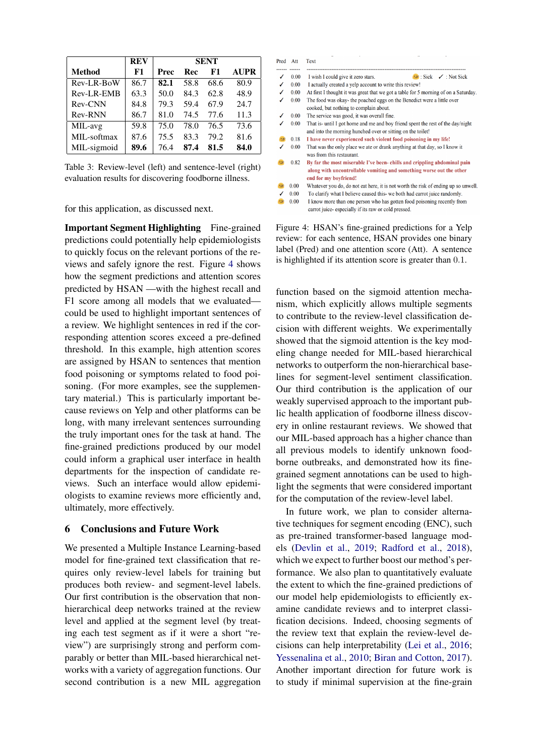<span id="page-7-0"></span>

|                | <b>REV</b> | <b>SENT</b> |      |      |             |
|----------------|------------|-------------|------|------|-------------|
| <b>Method</b>  | F1         | Prec        | Rec  | F1   | <b>AUPR</b> |
| Rev-LR-BoW     | 86.7       | 82.1        | 58.8 | 68.6 | 80.9        |
| Rev-LR-EMB     | 63.3       | 50.0        | 84.3 | 62.8 | 48.9        |
| Rev-CNN        | 84.8       | 79.3        | 59.4 | 67.9 | 24.7        |
| <b>Rev-RNN</b> | 86.7       | 81.0        | 74.5 | 77.6 | 11.3        |
| MIL-avg        | 59.8       | 75.0        | 78.0 | 76.5 | 73.6        |
| MIL-softmax    | 87.6       | 75.5        | 83.3 | 79.2 | 81.6        |
| MIL-sigmoid    | 89.6       | 76.4        | 87.4 | 81.5 | 84.0        |

Table 3: Review-level (left) and sentence-level (right) evaluation results for discovering foodborne illness.

for this application, as discussed next.

Important Segment Highlighting Fine-grained predictions could potentially help epidemiologists to quickly focus on the relevant portions of the reviews and safely ignore the rest. Figure [4](#page-7-1) shows how the segment predictions and attention scores predicted by HSAN —with the highest recall and F1 score among all models that we evaluated could be used to highlight important sentences of a review. We highlight sentences in red if the corresponding attention scores exceed a pre-defined threshold. In this example, high attention scores are assigned by HSAN to sentences that mention food poisoning or symptoms related to food poisoning. (For more examples, see the supplementary material.) This is particularly important because reviews on Yelp and other platforms can be long, with many irrelevant sentences surrounding the truly important ones for the task at hand. The fine-grained predictions produced by our model could inform a graphical user interface in health departments for the inspection of candidate reviews. Such an interface would allow epidemiologists to examine reviews more efficiently and, ultimately, more effectively.

#### 6 Conclusions and Future Work

We presented a Multiple Instance Learning-based model for fine-grained text classification that requires only review-level labels for training but produces both review- and segment-level labels. Our first contribution is the observation that nonhierarchical deep networks trained at the review level and applied at the segment level (by treating each test segment as if it were a short "review") are surprisingly strong and perform comparably or better than MIL-based hierarchical networks with a variety of aggregation functions. Our second contribution is a new MIL aggregation

<span id="page-7-1"></span>

| Pred Att      |      | Text                                                                                                                           |  |  |  |  |  |  |  |  |
|---------------|------|--------------------------------------------------------------------------------------------------------------------------------|--|--|--|--|--|--|--|--|
| ------<br>ℐ   | 0.00 | I wish I could give it zero stars.<br>$\rightarrow$ : Sick $\rightarrow$ : Not Sick                                            |  |  |  |  |  |  |  |  |
| ℐ             |      |                                                                                                                                |  |  |  |  |  |  |  |  |
|               | 0.00 | I actually created a yelp account to write this review!                                                                        |  |  |  |  |  |  |  |  |
|               | 0.00 | At first I thought it was great that we got a table for 5 morning of on a Saturday.                                            |  |  |  |  |  |  |  |  |
| ℐ             | 0.00 | The food was okay- the poached eggs on the Benedict were a little over                                                         |  |  |  |  |  |  |  |  |
|               |      | cooked, but nothing to complain about.                                                                                         |  |  |  |  |  |  |  |  |
|               | 0.00 | The service was good, it was overall fine.                                                                                     |  |  |  |  |  |  |  |  |
|               | 0.00 | That is- until I got home and me and boy friend spent the rest of the day/night                                                |  |  |  |  |  |  |  |  |
|               |      | and into the morning hunched over or sitting on the toilet!                                                                    |  |  |  |  |  |  |  |  |
| 138           | 0.18 | I have never experienced such violent food poisoning in my life!                                                               |  |  |  |  |  |  |  |  |
|               | 0.00 | That was the only place we ate or drank anything at that day, so I know it<br>was from this restaurant.                        |  |  |  |  |  |  |  |  |
| $\rightarrow$ | 0.82 | By far the most miserable I've been-chills and crippling abdominal pain                                                        |  |  |  |  |  |  |  |  |
|               |      | along with uncontrollable vomiting and something worse out the other<br>end for my boyfriend!                                  |  |  |  |  |  |  |  |  |
|               | 0.00 | Whatever you do, do not eat here, it is not worth the risk of ending up so unwell.                                             |  |  |  |  |  |  |  |  |
|               | 0.00 | To clarify what I believe caused this- we both had carrot juice randomly.                                                      |  |  |  |  |  |  |  |  |
| $\rightarrow$ | 0.00 | I know more than one person who has gotten food poisoning recently from<br>carrot juice-especially if its raw or cold pressed. |  |  |  |  |  |  |  |  |

Figure 4: HSAN's fine-grained predictions for a Yelp review: for each sentence, HSAN provides one binary label (Pred) and one attention score (Att). A sentence is highlighted if its attention score is greater than 0.1.

function based on the sigmoid attention mechanism, which explicitly allows multiple segments to contribute to the review-level classification decision with different weights. We experimentally showed that the sigmoid attention is the key modeling change needed for MIL-based hierarchical networks to outperform the non-hierarchical baselines for segment-level sentiment classification. Our third contribution is the application of our weakly supervised approach to the important public health application of foodborne illness discovery in online restaurant reviews. We showed that our MIL-based approach has a higher chance than all previous models to identify unknown foodborne outbreaks, and demonstrated how its finegrained segment annotations can be used to highlight the segments that were considered important for the computation of the review-level label.

In future work, we plan to consider alternative techniques for segment encoding (ENC), such as pre-trained transformer-based language models [\(Devlin et al.,](#page-8-7) [2019;](#page-8-7) [Radford et al.,](#page-9-7) [2018\)](#page-9-7), which we expect to further boost our method's performance. We also plan to quantitatively evaluate the extent to which the fine-grained predictions of our model help epidemiologists to efficiently examine candidate reviews and to interpret classification decisions. Indeed, choosing segments of the review text that explain the review-level decisions can help interpretability [\(Lei et al.,](#page-8-16) [2016;](#page-8-16) [Yessenalina et al.,](#page-9-0) [2010;](#page-9-0) [Biran and Cotton,](#page-8-17) [2017\)](#page-8-17). Another important direction for future work is to study if minimal supervision at the fine-grain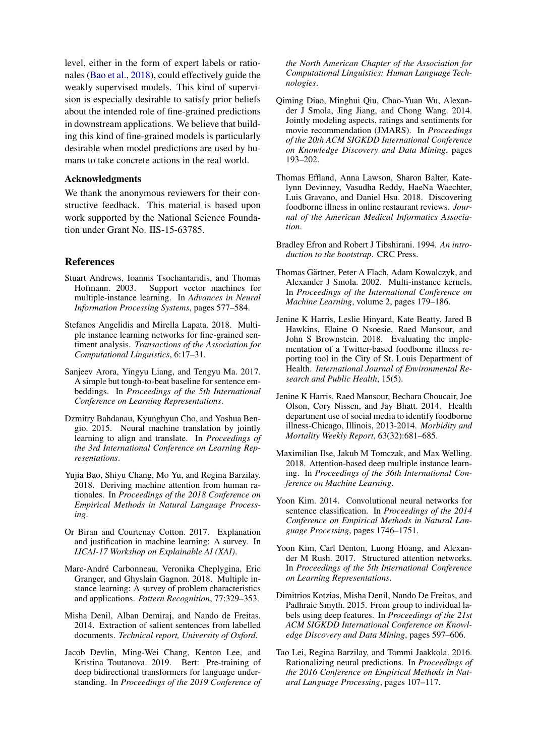level, either in the form of expert labels or rationales [\(Bao et al.,](#page-8-18) [2018\)](#page-8-18), could effectively guide the weakly supervised models. This kind of supervision is especially desirable to satisfy prior beliefs about the intended role of fine-grained predictions in downstream applications. We believe that building this kind of fine-grained models is particularly desirable when model predictions are used by humans to take concrete actions in the real world.

#### Acknowledgments

We thank the anonymous reviewers for their constructive feedback. This material is based upon work supported by the National Science Foundation under Grant No. IIS-15-63785.

## References

- <span id="page-8-0"></span>Stuart Andrews, Ioannis Tsochantaridis, and Thomas Hofmann. 2003. Support vector machines for multiple-instance learning. In *Advances in Neural Information Processing Systems*, pages 577–584.
- <span id="page-8-3"></span>Stefanos Angelidis and Mirella Lapata. 2018. Multiple instance learning networks for fine-grained sentiment analysis. *Transactions of the Association for Computational Linguistics*, 6:17–31.
- <span id="page-8-5"></span>Sanjeev Arora, Yingyu Liang, and Tengyu Ma. 2017. A simple but tough-to-beat baseline for sentence embeddings. In *Proceedings of the 5th International Conference on Learning Representations*.
- <span id="page-8-9"></span>Dzmitry Bahdanau, Kyunghyun Cho, and Yoshua Bengio. 2015. Neural machine translation by jointly learning to align and translate. In *Proceedings of the 3rd International Conference on Learning Representations*.
- <span id="page-8-18"></span>Yujia Bao, Shiyu Chang, Mo Yu, and Regina Barzilay. 2018. Deriving machine attention from human rationales. In *Proceedings of the 2018 Conference on Empirical Methods in Natural Language Processing*.
- <span id="page-8-17"></span>Or Biran and Courtenay Cotton. 2017. Explanation and justification in machine learning: A survey. In *IJCAI-17 Workshop on Explainable AI (XAI)*.
- <span id="page-8-13"></span>Marc-Andre Carbonneau, Veronika Cheplygina, Eric ´ Granger, and Ghyslain Gagnon. 2018. Multiple instance learning: A survey of problem characteristics and applications. *Pattern Recognition*, 77:329–353.
- <span id="page-8-8"></span>Misha Denil, Alban Demiraj, and Nando de Freitas. 2014. Extraction of salient sentences from labelled documents. *Technical report, University of Oxford*.
- <span id="page-8-7"></span>Jacob Devlin, Ming-Wei Chang, Kenton Lee, and Kristina Toutanova. 2019. Bert: Pre-training of deep bidirectional transformers for language understanding. In *Proceedings of the 2019 Conference of*

*the North American Chapter of the Association for Computational Linguistics: Human Language Technologies*.

- <span id="page-8-15"></span>Qiming Diao, Minghui Qiu, Chao-Yuan Wu, Alexander J Smola, Jing Jiang, and Chong Wang. 2014. Jointly modeling aspects, ratings and sentiments for movie recommendation (JMARS). In *Proceedings of the 20th ACM SIGKDD International Conference on Knowledge Discovery and Data Mining*, pages 193–202.
- <span id="page-8-11"></span>Thomas Effland, Anna Lawson, Sharon Balter, Katelynn Devinney, Vasudha Reddy, HaeNa Waechter, Luis Gravano, and Daniel Hsu. 2018. Discovering foodborne illness in online restaurant reviews. *Journal of the American Medical Informatics Association*.
- <span id="page-8-19"></span>Bradley Efron and Robert J Tibshirani. 1994. *An introduction to the bootstrap*. CRC Press.
- <span id="page-8-1"></span>Thomas Gärtner, Peter A Flach, Adam Kowalczyk, and Alexander J Smola. 2002. Multi-instance kernels. In *Proceedings of the International Conference on Machine Learning*, volume 2, pages 179–186.
- <span id="page-8-12"></span>Jenine K Harris, Leslie Hinyard, Kate Beatty, Jared B Hawkins, Elaine O Nsoesie, Raed Mansour, and John S Brownstein. 2018. Evaluating the implementation of a Twitter-based foodborne illness reporting tool in the City of St. Louis Department of Health. *International Journal of Environmental Research and Public Health*, 15(5).
- <span id="page-8-10"></span>Jenine K Harris, Raed Mansour, Bechara Choucair, Joe Olson, Cory Nissen, and Jay Bhatt. 2014. Health department use of social media to identify foodborne illness-Chicago, Illinois, 2013-2014. *Morbidity and Mortality Weekly Report*, 63(32):681–685.
- <span id="page-8-4"></span>Maximilian Ilse, Jakub M Tomczak, and Max Welling. 2018. Attention-based deep multiple instance learning. In *Proceedings of the 36th International Conference on Machine Learning*.
- <span id="page-8-6"></span>Yoon Kim. 2014. Convolutional neural networks for sentence classification. In *Proceedings of the 2014 Conference on Empirical Methods in Natural Language Processing*, pages 1746–1751.
- <span id="page-8-14"></span>Yoon Kim, Carl Denton, Luong Hoang, and Alexander M Rush. 2017. Structured attention networks. In *Proceedings of the 5th International Conference on Learning Representations*.
- <span id="page-8-2"></span>Dimitrios Kotzias, Misha Denil, Nando De Freitas, and Padhraic Smyth. 2015. From group to individual labels using deep features. In *Proceedings of the 21st ACM SIGKDD International Conference on Knowledge Discovery and Data Mining*, pages 597–606.
- <span id="page-8-16"></span>Tao Lei, Regina Barzilay, and Tommi Jaakkola. 2016. Rationalizing neural predictions. In *Proceedings of the 2016 Conference on Empirical Methods in Natural Language Processing*, pages 107–117.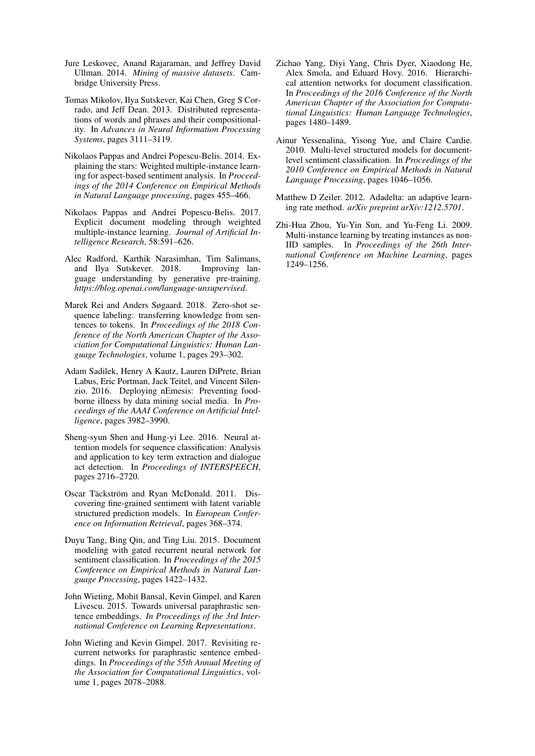- <span id="page-9-15"></span>Jure Leskovec, Anand Rajaraman, and Jeffrey David Ullman. 2014. *Mining of massive datasets*. Cambridge University Press.
- <span id="page-9-13"></span>Tomas Mikolov, Ilya Sutskever, Kai Chen, Greg S Corrado, and Jeff Dean. 2013. Distributed representations of words and phrases and their compositionality. In *Advances in Neural Information Processing Systems*, pages 3111–3119.
- <span id="page-9-2"></span>Nikolaos Pappas and Andrei Popescu-Belis. 2014. Explaining the stars: Weighted multiple-instance learning for aspect-based sentiment analysis. In *Proceedings of the 2014 Conference on Empirical Methods in Natural Language processing*, pages 455–466.
- <span id="page-9-3"></span>Nikolaos Pappas and Andrei Popescu-Belis. 2017. Explicit document modeling through weighted multiple-instance learning. *Journal of Artificial Intelligence Research*, 58:591–626.
- <span id="page-9-7"></span>Alec Radford, Karthik Narasimhan, Tim Salimans, and Ilya Sutskever. 2018. Improving language understanding by generative pre-training. *https://blog.openai.com/language-unsupervised*.
- <span id="page-9-11"></span>Marek Rei and Anders Søgaard. 2018. Zero-shot sequence labeling: transferring knowledge from sentences to tokens. In *Proceedings of the 2018 Conference of the North American Chapter of the Association for Computational Linguistics: Human Language Technologies*, volume 1, pages 293–302.
- <span id="page-9-9"></span>Adam Sadilek, Henry A Kautz, Lauren DiPrete, Brian Labus, Eric Portman, Jack Teitel, and Vincent Silenzio. 2016. Deploying nEmesis: Preventing foodborne illness by data mining social media. In *Proceedings of the AAAI Conference on Artificial Intelligence*, pages 3982–3990.
- <span id="page-9-10"></span>Sheng-syun Shen and Hung-yi Lee. 2016. Neural attention models for sequence classification: Analysis and application to key term extraction and dialogue act detection. In *Proceedings of INTERSPEECH*, pages 2716–2720.
- <span id="page-9-1"></span>Oscar Täckström and Ryan McDonald. 2011. Discovering fine-grained sentiment with latent variable structured prediction models. In *European Conference on Information Retrieval*, pages 368–374.
- <span id="page-9-12"></span>Duyu Tang, Bing Qin, and Ting Liu. 2015. Document modeling with gated recurrent neural network for sentiment classification. In *Proceedings of the 2015 Conference on Empirical Methods in Natural Language Processing*, pages 1422–1432.
- <span id="page-9-4"></span>John Wieting, Mohit Bansal, Kevin Gimpel, and Karen Livescu. 2015. Towards universal paraphrastic sentence embeddings. *In Proceedings of the 3rd International Conference on Learning Representations*.
- <span id="page-9-5"></span>John Wieting and Kevin Gimpel. 2017. Revisiting recurrent networks for paraphrastic sentence embeddings. In *Proceedings of the 55th Annual Meeting of the Association for Computational Linguistics*, volume 1, pages 2078–2088.
- <span id="page-9-6"></span>Zichao Yang, Diyi Yang, Chris Dyer, Xiaodong He, Alex Smola, and Eduard Hovy. 2016. Hierarchical attention networks for document classification. In *Proceedings of the 2016 Conference of the North American Chapter of the Association for Computational Linguistics: Human Language Technologies*, pages 1480–1489.
- <span id="page-9-0"></span>Ainur Yessenalina, Yisong Yue, and Claire Cardie. 2010. Multi-level structured models for documentlevel sentiment classification. In *Proceedings of the 2010 Conference on Empirical Methods in Natural Language Processing*, pages 1046–1056.
- <span id="page-9-14"></span>Matthew D Zeiler. 2012. Adadelta: an adaptive learning rate method. *arXiv preprint arXiv:1212.5701*.
- <span id="page-9-8"></span>Zhi-Hua Zhou, Yu-Yin Sun, and Yu-Feng Li. 2009. Multi-instance learning by treating instances as non-IID samples. In *Proceedings of the 26th International Conference on Machine Learning*, pages 1249–1256.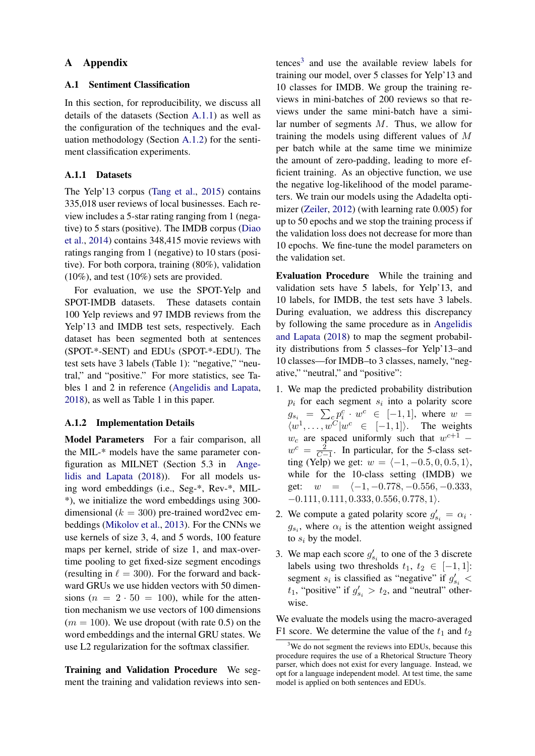## A Appendix

## A.1 Sentiment Classification

In this section, for reproducibility, we discuss all details of the datasets (Section [A.1.1\)](#page-10-0) as well as the configuration of the techniques and the evaluation methodology (Section [A.1.2\)](#page-10-1) for the sentiment classification experiments.

## <span id="page-10-0"></span>A.1.1 Datasets

The Yelp'13 corpus [\(Tang et al.,](#page-9-12) [2015\)](#page-9-12) contains 335,018 user reviews of local businesses. Each review includes a 5-star rating ranging from 1 (negative) to 5 stars (positive). The IMDB corpus [\(Diao](#page-8-15) [et al.,](#page-8-15) [2014\)](#page-8-15) contains 348,415 movie reviews with ratings ranging from 1 (negative) to 10 stars (positive). For both corpora, training (80%), validation (10%), and test (10%) sets are provided.

For evaluation, we use the SPOT-Yelp and SPOT-IMDB datasets. These datasets contain 100 Yelp reviews and 97 IMDB reviews from the Yelp'13 and IMDB test sets, respectively. Each dataset has been segmented both at sentences (SPOT-\*-SENT) and EDUs (SPOT-\*-EDU). The test sets have 3 labels (Table 1): "negative," "neutral," and "positive." For more statistics, see Tables 1 and 2 in reference [\(Angelidis and Lapata,](#page-8-3) [2018\)](#page-8-3), as well as Table 1 in this paper.

## <span id="page-10-1"></span>A.1.2 Implementation Details

<span id="page-10-3"></span>Model Parameters For a fair comparison, all the MIL-\* models have the same parameter configuration as MILNET (Section 5.3 in [Ange](#page-8-3)[lidis and Lapata](#page-8-3) [\(2018\)](#page-8-3)). For all models using word embeddings (i.e., Seg-\*, Rev-\*, MIL- \*), we initialize the word embeddings using 300 dimensional ( $k = 300$ ) pre-trained word2vec embeddings [\(Mikolov et al.,](#page-9-13) [2013\)](#page-9-13). For the CNNs we use kernels of size 3, 4, and 5 words, 100 feature maps per kernel, stride of size 1, and max-overtime pooling to get fixed-size segment encodings (resulting in  $\ell = 300$ ). For the forward and backward GRUs we use hidden vectors with 50 dimensions  $(n = 2 \cdot 50 = 100)$ , while for the attention mechanism we use vectors of 100 dimensions  $(m = 100)$ . We use dropout (with rate 0.5) on the word embeddings and the internal GRU states. We use L2 regularization for the softmax classifier.

Training and Validation Procedure We segment the training and validation reviews into sen-

 $t$ ences<sup>[3](#page-10-2)</sup> and use the available review labels for training our model, over 5 classes for Yelp'13 and 10 classes for IMDB. We group the training reviews in mini-batches of 200 reviews so that reviews under the same mini-batch have a similar number of segments M. Thus, we allow for training the models using different values of M per batch while at the same time we minimize the amount of zero-padding, leading to more efficient training. As an objective function, we use the negative log-likelihood of the model parameters. We train our models using the Adadelta optimizer [\(Zeiler,](#page-9-14) [2012\)](#page-9-14) (with learning rate 0.005) for up to 50 epochs and we stop the training process if the validation loss does not decrease for more than 10 epochs. We fine-tune the model parameters on the validation set.

Evaluation Procedure While the training and validation sets have 5 labels, for Yelp'13, and 10 labels, for IMDB, the test sets have 3 labels. During evaluation, we address this discrepancy by following the same procedure as in [Angelidis](#page-8-3) [and Lapata](#page-8-3) [\(2018\)](#page-8-3) to map the segment probability distributions from 5 classes–for Yelp'13–and 10 classes—for IMDB–to 3 classes, namely, "negative," "neutral," and "positive":

- 1. We map the predicted probability distribution  $p_i$  for each segment  $s_i$  into a polarity score  $g_{s_i} = \sum_{c_i} p_i^c \cdot w^c \in [-1,1]$ , where  $w =$  $\langle w^1, \ldots, w^C | w^c \in [-1,1] \rangle$ . The weights  $w_c$  are spaced uniformly such that  $w^{c+1}$  –  $w^c = \frac{2}{C-1}$ . In particular, for the 5-class setting (Yelp) we get:  $w = \langle -1, -0.5, 0, 0.5, 1 \rangle$ , while for the 10-class setting (IMDB) we get:  $w = \{-1, -0.778, -0.556, -0.333, \}$  $-0.111, 0.111, 0.333, 0.556, 0.778, 1$ .
- 2. We compute a gated polarity score  $g'_{s_i} = \alpha_i$ .  $g_{s_i}$ , where  $\alpha_i$  is the attention weight assigned to  $s_i$  by the model.
- 3. We map each score  $g'_{s_i}$  to one of the 3 discrete labels using two thresholds  $t_1, t_2 \in [-1, 1]$ : segment  $s_i$  is classified as "negative" if  $g'_{s_i}$  <  $t_1$ , "positive" if  $g'_{s_i} > t_2$ , and "neutral" otherwise.

We evaluate the models using the macro-averaged F1 score. We determine the value of the  $t_1$  and  $t_2$ 

<span id="page-10-2"></span><sup>&</sup>lt;sup>3</sup>We do not segment the reviews into EDUs, because this procedure requires the use of a Rhetorical Structure Theory parser, which does not exist for every language. Instead, we opt for a language independent model. At test time, the same model is applied on both sentences and EDUs.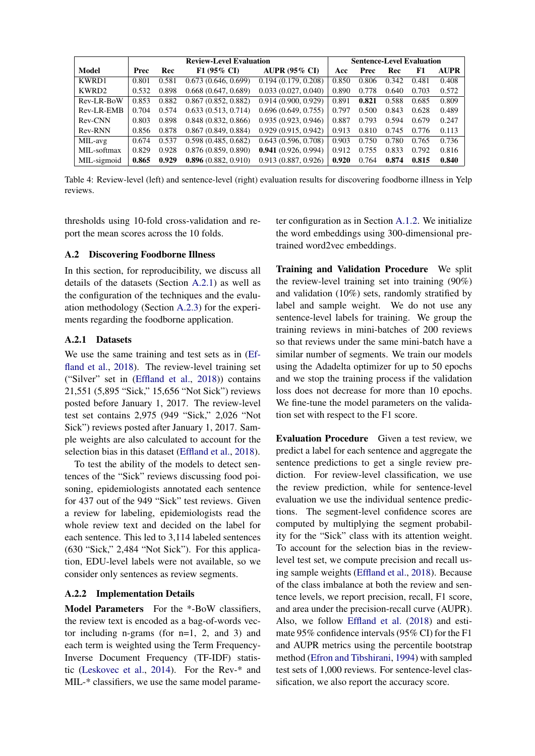<span id="page-11-1"></span>

|             | <b>Review-Level Evaluation</b> |       |                       | <b>Sentence-Level Evaluation</b> |       |       |       |       |             |
|-------------|--------------------------------|-------|-----------------------|----------------------------------|-------|-------|-------|-------|-------------|
| Model       | Prec                           | Rec   | $F1(95\% \text{ CI})$ | <b>AUPR (95% CI)</b>             | Acc   | Prec  | Rec   | F1    | <b>AUPR</b> |
| KWRD1       | 0.801                          | 0.581 | 0.673(0.646, 0.699)   | 0.194(0.179, 0.208)              | 0.850 | 0.806 | 0.342 | 0.481 | 0.408       |
| KWRD2       | 0.532                          | 0.898 | 0.668(0.647, 0.689)   | 0.033(0.027, 0.040)              | 0.890 | 0.778 | 0.640 | 0.703 | 0.572       |
| Rev-LR-BoW  | 0.853                          | 0.882 | 0.867(0.852, 0.882)   | 0.914(0.900, 0.929)              | 0.891 | 0.821 | 0.588 | 0.685 | 0.809       |
| Rev-LR-EMB  | 0.704                          | 0.574 | 0.633(0.513, 0.714)   | 0.696(0.649, 0.755)              | 0.797 | 0.500 | 0.843 | 0.628 | 0.489       |
| Rev-CNN     | 0.803                          | 0.898 | 0.848(0.832, 0.866)   | 0.935(0.923, 0.946)              | 0.887 | 0.793 | 0.594 | 0.679 | 0.247       |
| Rev-RNN     | 0.856                          | 0.878 | 0.867(0.849, 0.884)   | 0.929(0.915, 0.942)              | 0.913 | 0.810 | 0.745 | 0.776 | 0.113       |
| MIL-avg     | 0.674                          | 0.537 | 0.598(0.485, 0.682)   | 0.643(0.596, 0.708)              | 0.903 | 0.750 | 0.780 | 0.765 | 0.736       |
| MIL-softmax | 0.829                          | 0.928 | 0.876(0.859, 0.890)   | 0.941(0.926, 0.994)              | 0.912 | 0.755 | 0.833 | 0.792 | 0.816       |
| MIL-sigmoid | 0.865                          | 0.929 | 0.896(0.882, 0.910)   | 0.913(0.887, 0.926)              | 0.920 | 0.764 | 0.874 | 0.815 | 0.840       |

Table 4: Review-level (left) and sentence-level (right) evaluation results for discovering foodborne illness in Yelp reviews.

thresholds using 10-fold cross-validation and report the mean scores across the 10 folds.

## A.2 Discovering Foodborne Illness

In this section, for reproducibility, we discuss all details of the datasets (Section [A.2.1\)](#page-11-0) as well as the configuration of the techniques and the evaluation methodology (Section [A.2.3\)](#page-12-0) for the experiments regarding the foodborne application.

#### <span id="page-11-0"></span>A.2.1 Datasets

We use the same training and test sets as in [\(Ef](#page-8-11)[fland et al.,](#page-8-11) [2018\)](#page-8-11). The review-level training set ("Silver" set in [\(Effland et al.,](#page-8-11) [2018\)](#page-8-11)) contains 21,551 (5,895 "Sick," 15,656 "Not Sick") reviews posted before January 1, 2017. The review-level test set contains 2,975 (949 "Sick," 2,026 "Not Sick") reviews posted after January 1, 2017. Sample weights are also calculated to account for the selection bias in this dataset [\(Effland et al.,](#page-8-11) [2018\)](#page-8-11).

To test the ability of the models to detect sentences of the "Sick" reviews discussing food poisoning, epidemiologists annotated each sentence for 437 out of the 949 "Sick" test reviews. Given a review for labeling, epidemiologists read the whole review text and decided on the label for each sentence. This led to 3,114 labeled sentences (630 "Sick," 2,484 "Not Sick"). For this application, EDU-level labels were not available, so we consider only sentences as review segments.

#### A.2.2 Implementation Details

Model Parameters For the \*-BoW classifiers. the review text is encoded as a bag-of-words vector including n-grams (for  $n=1$ , 2, and 3) and each term is weighted using the Term Frequency-Inverse Document Frequency (TF-IDF) statistic [\(Leskovec et al.,](#page-9-15) [2014\)](#page-9-15). For the Rev-\* and MIL-\* classifiers, we use the same model parameter configuration as in Section [A.1.2.](#page-10-3) We initialize the word embeddings using 300-dimensional pretrained word2vec embeddings.

Training and Validation Procedure We split the review-level training set into training (90%) and validation (10%) sets, randomly stratified by label and sample weight. We do not use any sentence-level labels for training. We group the training reviews in mini-batches of 200 reviews so that reviews under the same mini-batch have a similar number of segments. We train our models using the Adadelta optimizer for up to 50 epochs and we stop the training process if the validation loss does not decrease for more than 10 epochs. We fine-tune the model parameters on the validation set with respect to the F1 score.

Evaluation Procedure Given a test review, we predict a label for each sentence and aggregate the sentence predictions to get a single review prediction. For review-level classification, we use the review prediction, while for sentence-level evaluation we use the individual sentence predictions. The segment-level confidence scores are computed by multiplying the segment probability for the "Sick" class with its attention weight. To account for the selection bias in the reviewlevel test set, we compute precision and recall using sample weights [\(Effland et al.,](#page-8-11) [2018\)](#page-8-11). Because of the class imbalance at both the review and sentence levels, we report precision, recall, F1 score, and area under the precision-recall curve (AUPR). Also, we follow [Effland et al.](#page-8-11) [\(2018\)](#page-8-11) and estimate 95% confidence intervals (95% CI) for the F1 and AUPR metrics using the percentile bootstrap method [\(Efron and Tibshirani,](#page-8-19) [1994\)](#page-8-19) with sampled test sets of 1,000 reviews. For sentence-level classification, we also report the accuracy score.